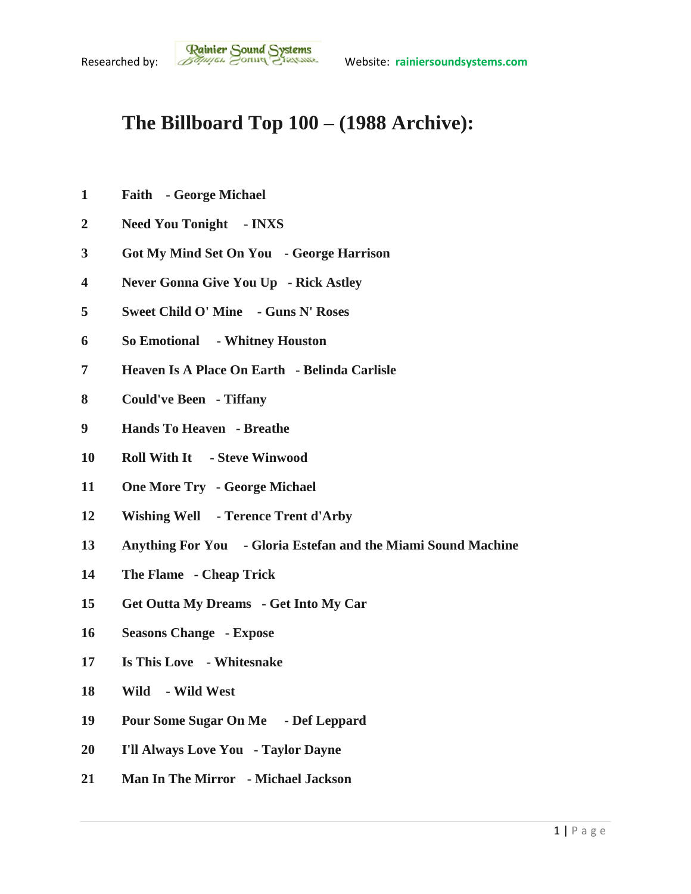## **The Billboard Top 100 – (1988 Archive):**

- **Faith - George Michael**
- **Need You Tonight - INXS**
- **Got My Mind Set On You - George Harrison**
- **Never Gonna Give You Up - Rick Astley**
- **Sweet Child O' Mine - Guns N' Roses**
- **So Emotional - Whitney Houston**
- **Heaven Is A Place On Earth - Belinda Carlisle**
- **Could've Been - Tiffany**
- **Hands To Heaven - Breathe**
- **Roll With It - Steve Winwood**
- **One More Try - George Michael**
- **Wishing Well - Terence Trent d'Arby**
- **Anything For You - Gloria Estefan and the Miami Sound Machine**
- **The Flame - Cheap Trick**
- **Get Outta My Dreams - Get Into My Car**
- **Seasons Change - Expose**
- **Is This Love - Whitesnake**
- **Wild - Wild West**
- **Pour Some Sugar On Me - Def Leppard**
- **I'll Always Love You - Taylor Dayne**
- **Man In The Mirror - Michael Jackson**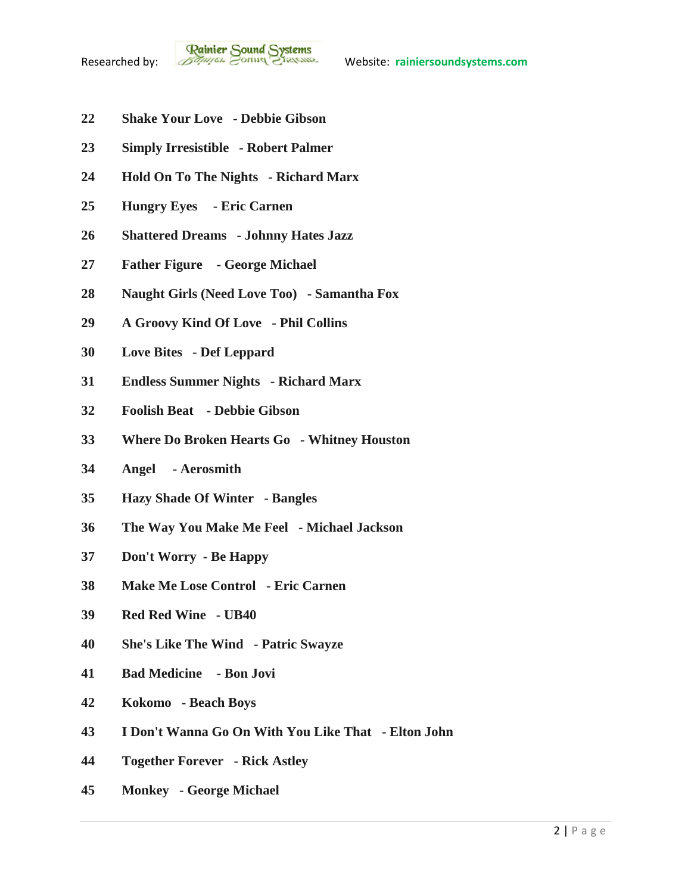- **Shake Your Love - Debbie Gibson**
- **Simply Irresistible - Robert Palmer**
- **Hold On To The Nights - Richard Marx**
- **Hungry Eyes - Eric Carnen**
- **Shattered Dreams - Johnny Hates Jazz**
- **Father Figure - George Michael**
- **Naught Girls (Need Love Too) - Samantha Fox**
- **A Groovy Kind Of Love - Phil Collins**
- **Love Bites - Def Leppard**
- **Endless Summer Nights - Richard Marx**
- **Foolish Beat - Debbie Gibson**
- **Where Do Broken Hearts Go - Whitney Houston**
- **Angel - Aerosmith**
- **Hazy Shade Of Winter - Bangles**
- **The Way You Make Me Feel - Michael Jackson**
- **Don't Worry - Be Happy**
- **Make Me Lose Control - Eric Carnen**
- **Red Red Wine - UB40**
- **She's Like The Wind - Patric Swayze**
- **Bad Medicine - Bon Jovi**
- **Kokomo - Beach Boys**
- **I Don't Wanna Go On With You Like That - Elton John**
- **Together Forever - Rick Astley**
- **Monkey - George Michael**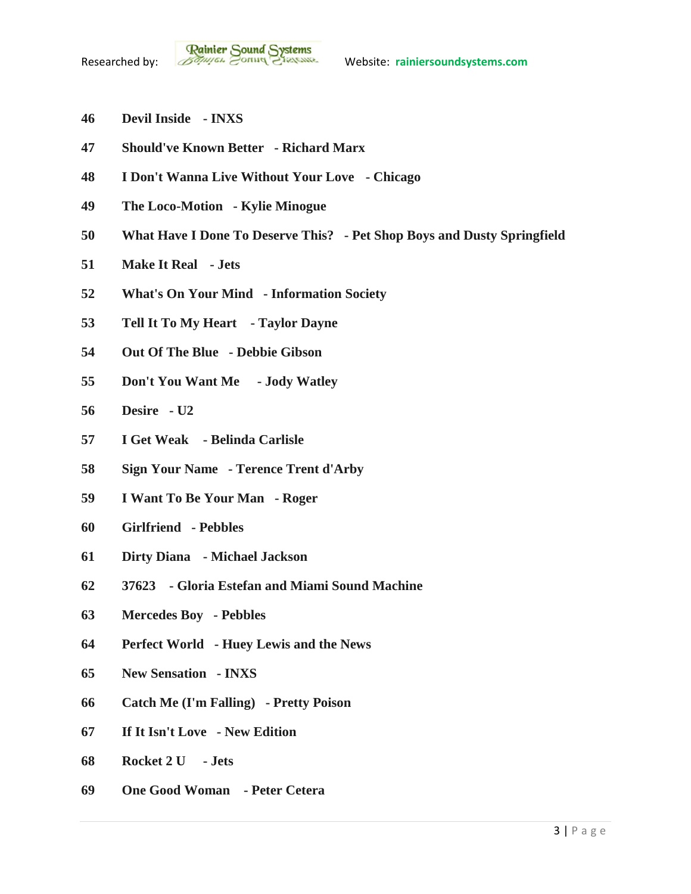- **Devil Inside - INXS**
- **Should've Known Better - Richard Marx**
- **I Don't Wanna Live Without Your Love - Chicago**
- **The Loco-Motion - Kylie Minogue**
- **What Have I Done To Deserve This? - Pet Shop Boys and Dusty Springfield**
- **Make It Real - Jets**
- **What's On Your Mind - Information Society**
- **Tell It To My Heart - Taylor Dayne**
- **Out Of The Blue - Debbie Gibson**
- **Don't You Want Me - Jody Watley**
- **Desire - U2**
- **I Get Weak - Belinda Carlisle**
- **Sign Your Name - Terence Trent d'Arby**
- **I Want To Be Your Man - Roger**
- **Girlfriend - Pebbles**
- **Dirty Diana - Michael Jackson**
- **37623 - Gloria Estefan and Miami Sound Machine**
- **Mercedes Boy - Pebbles**
- **Perfect World - Huey Lewis and the News**
- **New Sensation - INXS**
- **Catch Me (I'm Falling) - Pretty Poison**
- **If It Isn't Love - New Edition**
- **Rocket 2 U - Jets**
- **One Good Woman - Peter Cetera**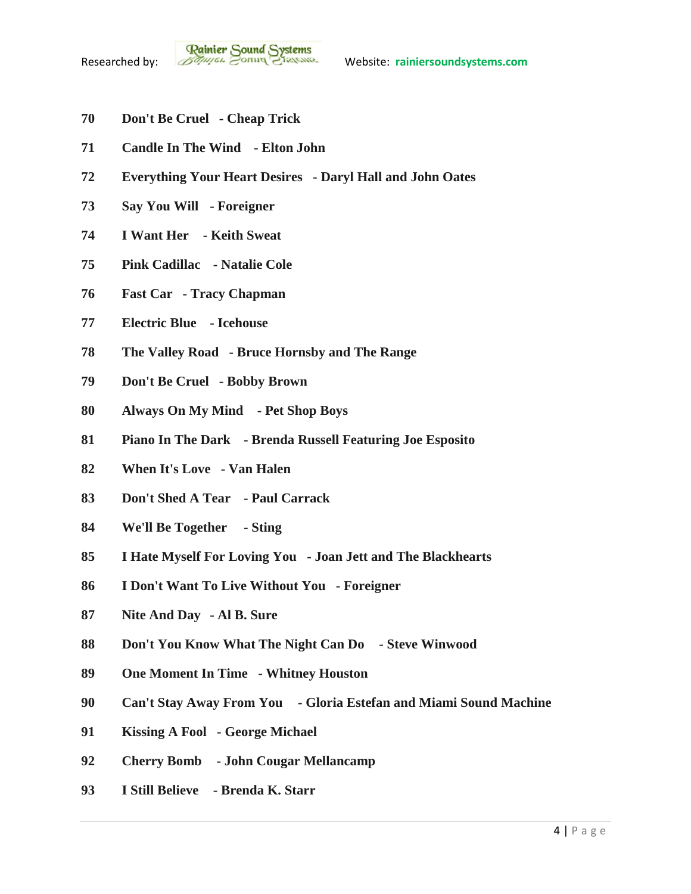- **Don't Be Cruel - Cheap Trick**
- **Candle In The Wind - Elton John**
- **Everything Your Heart Desires - Daryl Hall and John Oates**
- **Say You Will - Foreigner**
- **I Want Her - Keith Sweat**
- **Pink Cadillac - Natalie Cole**
- **Fast Car - Tracy Chapman**
- **Electric Blue - Icehouse**
- **The Valley Road - Bruce Hornsby and The Range**
- **Don't Be Cruel - Bobby Brown**
- **Always On My Mind - Pet Shop Boys**
- **Piano In The Dark - Brenda Russell Featuring Joe Esposito**
- **When It's Love - Van Halen**
- **Don't Shed A Tear - Paul Carrack**
- **We'll Be Together - Sting**
- **I Hate Myself For Loving You - Joan Jett and The Blackhearts**
- **I Don't Want To Live Without You - Foreigner**
- **Nite And Day - Al B. Sure**
- **Don't You Know What The Night Can Do - Steve Winwood**
- **One Moment In Time - Whitney Houston**
- **Can't Stay Away From You - Gloria Estefan and Miami Sound Machine**
- **Kissing A Fool - George Michael**
- **Cherry Bomb - John Cougar Mellancamp**
- **I Still Believe - Brenda K. Starr**